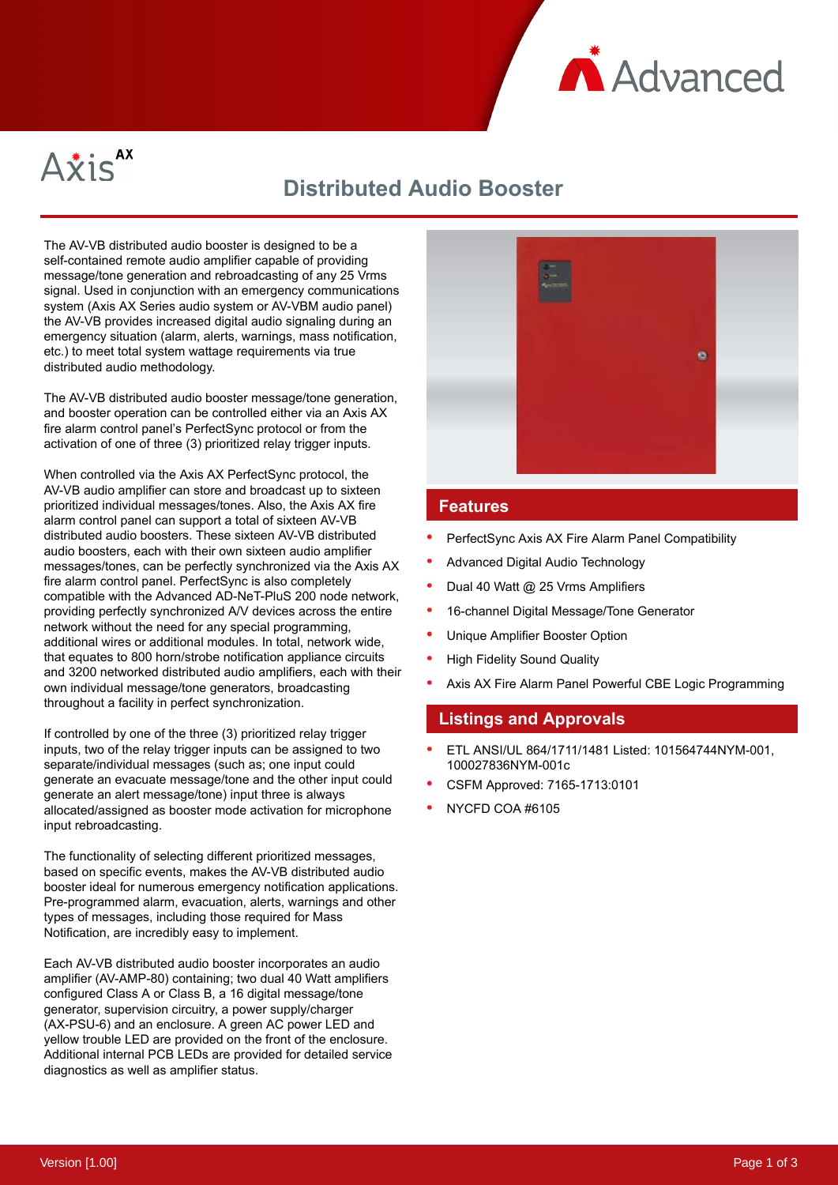



# **Distributed Audio Booster**

The AV-VB distributed audio booster is designed to be a self-contained remote audio amplifier capable of providing message/tone generation and rebroadcasting of any 25 Vrms signal. Used in conjunction with an emergency communications system (Axis AX Series audio system or AV-VBM audio panel) the AV-VB provides increased digital audio signaling during an emergency situation (alarm, alerts, warnings, mass notification, etc.) to meet total system wattage requirements via true distributed audio methodology.

The AV-VB distributed audio booster message/tone generation, and booster operation can be controlled either via an Axis AX fire alarm control panel's PerfectSync protocol or from the activation of one of three (3) prioritized relay trigger inputs.

When controlled via the Axis AX PerfectSync protocol, the AV-VB audio amplifier can store and broadcast up to sixteen prioritized individual messages/tones. Also, the Axis AX fire alarm control panel can support a total of sixteen AV-VB distributed audio boosters. These sixteen AV-VB distributed audio boosters, each with their own sixteen audio amplifier messages/tones, can be perfectly synchronized via the Axis AX fire alarm control panel. PerfectSync is also completely compatible with the Advanced AD-NeT-PluS 200 node network, providing perfectly synchronized A/V devices across the entire network without the need for any special programming, additional wires or additional modules. In total, network wide, that equates to 800 horn/strobe notification appliance circuits and 3200 networked distributed audio amplifiers, each with their own individual message/tone generators, broadcasting throughout a facility in perfect synchronization.

If controlled by one of the three (3) prioritized relay trigger inputs, two of the relay trigger inputs can be assigned to two separate/individual messages (such as; one input could generate an evacuate message/tone and the other input could generate an alert message/tone) input three is always allocated/assigned as booster mode activation for microphone input rebroadcasting.

The functionality of selecting different prioritized messages, based on specific events, makes the AV-VB distributed audio booster ideal for numerous emergency notification applications. Pre-programmed alarm, evacuation, alerts, warnings and other types of messages, including those required for Mass Notification, are incredibly easy to implement.

Each AV-VB distributed audio booster incorporates an audio amplifier (AV-AMP-80) containing; two dual 40 Watt amplifiers configured Class A or Class B, a 16 digital message/tone generator, supervision circuitry, a power supply/charger (AX-PSU-6) and an enclosure. A green AC power LED and yellow trouble LED are provided on the front of the enclosure. Additional internal PCB LEDs are provided for detailed service diagnostics as well as amplifier status.



#### **Features**

- PerfectSync Axis AX Fire Alarm Panel Compatibility
- Advanced Digital Audio Technology
- Dual 40 Watt @ 25 Vrms Amplifiers
- 16-channel Digital Message/Tone Generator
- Unique Amplifier Booster Option
- High Fidelity Sound Quality
- Axis AX Fire Alarm Panel Powerful CBE Logic Programming

#### **Listings and Approvals**

- ETL ANSI/UL 864/1711/1481 Listed: 101564744NYM-001, 100027836NYM-001c
- CSFM Approved: 7165-1713:0101
- NYCFD COA #6105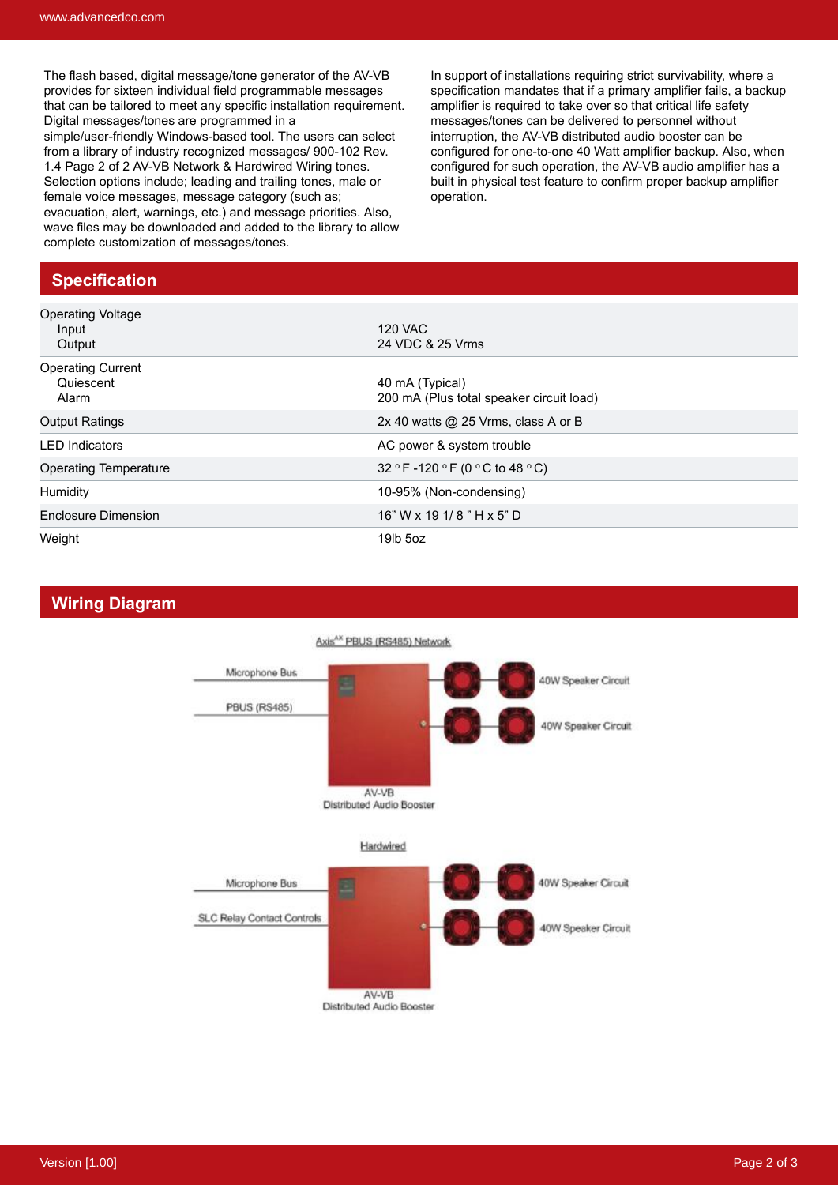The flash based, digital message/tone generator of the AV-VB provides for sixteen individual field programmable messages that can be tailored to meet any specific installation requirement. Digital messages/tones are programmed in a simple/user-friendly Windows-based tool. The users can select from a library of industry recognized messages/ 900-102 Rev. 1.4 Page 2 of 2 AV-VB Network & Hardwired Wiring tones. Selection options include; leading and trailing tones, male or female voice messages, message category (such as; evacuation, alert, warnings, etc.) and message priorities. Also, wave files may be downloaded and added to the library to allow complete customization of messages/tones.

In support of installations requiring strict survivability, where a specification mandates that if a primary amplifier fails, a backup amplifier is required to take over so that critical life safety messages/tones can be delivered to personnel without interruption, the AV-VB distributed audio booster can be configured for one-to-one 40 Watt amplifier backup. Also, when configured for such operation, the AV-VB audio amplifier has a built in physical test feature to confirm proper backup amplifier operation.

## **Specification**

| <b>Operating Voltage</b><br>Input<br>Output    | <b>120 VAC</b><br>24 VDC & 25 Vrms                          |
|------------------------------------------------|-------------------------------------------------------------|
| <b>Operating Current</b><br>Quiescent<br>Alarm | 40 mA (Typical)<br>200 mA (Plus total speaker circuit load) |
| <b>Output Ratings</b>                          | 2x 40 watts $@$ 25 Vrms, class A or B                       |
| <b>LED</b> Indicators                          | AC power & system trouble                                   |
| <b>Operating Temperature</b>                   | 32 °F-120 °F (0 °C to 48 °C)                                |
| Humidity                                       | 10-95% (Non-condensing)                                     |
| Enclosure Dimension                            | $16"$ W x 19 1/ 8 $"$ H x 5" D                              |
| Weight                                         | $19$ lb $5$ oz                                              |

### **Wiring Diagram**